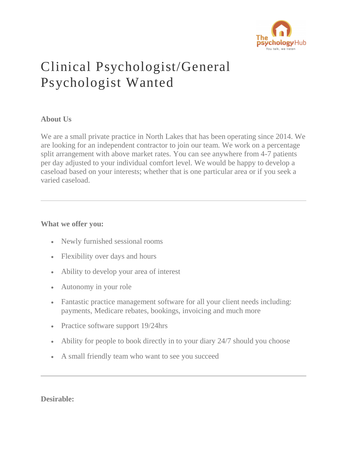

# Clinical Psychologist/General Psychologist Wanted

## **About Us**

We are a small private practice in North Lakes that has been operating since 2014. We are looking for an independent contractor to join our team. We work on a percentage split arrangement with above market rates. You can see anywhere from 4-7 patients per day adjusted to your individual comfort level. We would be happy to develop a caseload based on your interests; whether that is one particular area or if you seek a varied caseload.

## **What we offer you:**

- Newly furnished sessional rooms
- Flexibility over days and hours
- Ability to develop your area of interest
- Autonomy in your role
- Fantastic practice management software for all your client needs including: payments, Medicare rebates, bookings, invoicing and much more
- Practice software support 19/24hrs
- Ability for people to book directly in to your diary 24/7 should you choose
- A small friendly team who want to see you succeed

**Desirable:**